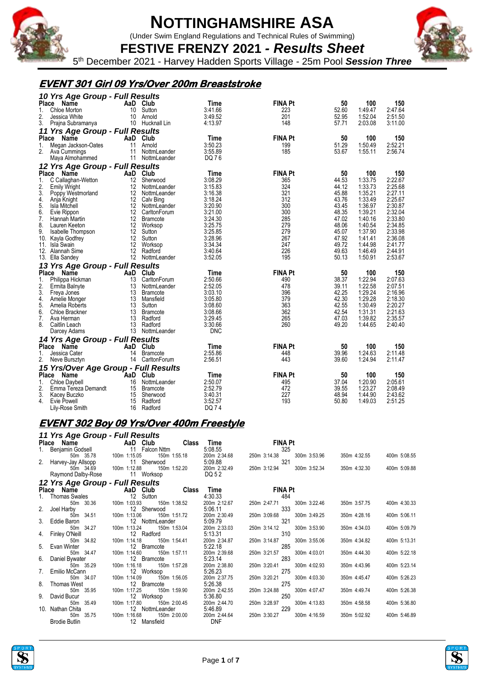

(Under Swim England Regulations and Technical Rules of Swimming)

**FESTIVE FRENZY 2021** *- Results Sheet* 5 th December 2021 - Harvey Hadden Sports Village - 25m Pool *Session Three*

#### **EVENT 301 Girl 09 Yrs/Over 200m Breaststroke**

|              | 10 Yrs Age Group - Full Results      |     |                 |                    |                |       |                    |         |
|--------------|--------------------------------------|-----|-----------------|--------------------|----------------|-------|--------------------|---------|
| Place        | Name                                 |     | AaD Club        | Time               | <b>FINA Pt</b> | 50    | 100                | 150     |
| 1.           | Chloe Morton                         | 10  | Sutton          | 3:41.66            | 223            | 52.60 | 1:49.47            | 2:47.64 |
| 2.           | Jessica White                        |     | 10 Arnold       | 3:49.52            | 201            | 52.95 | 1:52.04            | 2:51.50 |
| 3.           | Prajna Subramanya                    |     | 10 Hucknall Lin | 4:13.97            | 148            | 57.71 | 2:03.08            | 3:11.00 |
|              | 11 Yrs Age Group - Full Results      |     |                 |                    |                |       |                    |         |
|              | Place Name                           |     | AaD Club        | Time               | <b>FINA Pt</b> | 50    | 100                | 150     |
| 1.           | Megan Jackson-Oates                  | 11  | Arnold          | 3:50.23            | 199            | 51.29 | 1:50.49            | 2:52.21 |
| 2.           | Ava Cummings                         | 11  | NottmLeander    | 3:55.89            | 185            | 53.67 | 1:55.11            | 2:56.74 |
|              | Maya Almohammed                      |     | 11 NottmLeander | DQ 76              |                |       |                    |         |
|              | 12 Yrs Age Group - Full Results      |     |                 |                    |                |       |                    |         |
| Place        | Name                                 |     | AaD Club        | Time               | <b>FINA Pt</b> | 50    | 100                | 150     |
| 1.           | C Callaghan-Wetton                   | 12  | Sherwood        | 3:08.29            | 365            | 44.53 | 1:33.75            | 2:22.67 |
| 2.           | <b>Emily Wright</b>                  | 12  | NottmLeander    | 3:15.83            | 324            | 44.12 | 1:33.73            | 2:25.68 |
| 3.           | Poppy Westmorland                    | 12  | NottmLeander    | 3:16.38            | 321            | 45.88 | 1:35.21            | 2:27.11 |
| 4.           | Anja Knight                          | 12  | Calv Bing       | 3:18.24            | 312            | 43.76 | 1:33.49            | 2:25.67 |
| 5.           | Isla Mitchell                        | 12  | NottmLeander    | 3:20.90            | 300            | 43.45 | 1:36.97            | 2:30.87 |
| 6.           | Evie Rippon                          | 12  | CarltonForum    | 3:21.00            | 300            | 48.35 | 1:39.21            | 2:32.04 |
| 7.           |                                      |     |                 |                    | 285            | 47.02 |                    | 2:33.80 |
| 8.           | Hannah Martin                        |     | 12 Bramcote     | 3:24.30            | 279            | 48.06 | 1:40.16<br>1:40.54 | 2:34.85 |
| 9.           | Lauren Keeton                        | 12  | Worksop         | 3:25.75            | 279            | 45.07 | 1:37.90            | 2:33.98 |
|              | Isabelle Thompson                    | 12  | 12 Sutton       | 3:25.85<br>3:28.96 | 267            | 47.92 | 1:41.41            | 2:36.08 |
|              | 10. Kayla Godfrey                    |     | Sutton          |                    | 247            |       |                    |         |
|              | 11. Isla Swain                       | 12  | Worksop         | 3:34.34            | 226            | 49.72 | 1:44.98            | 2:41.77 |
|              | 12. Alannah Sime                     | 12  | Radford         | 3:40.64            |                | 49.63 | 1:46.49            | 2:44.91 |
|              | 13. Ella Sandey                      |     | 12 NottmLeander | 3:52.05            | 195            | 50.13 | 1:50.91            | 2:53.67 |
|              | 13 Yrs Age Group - Full Results      |     |                 |                    |                |       |                    |         |
| Place        | <b>Name</b>                          | AaD | Club            | Time               | <b>FINA Pt</b> | 50    | 100                | 150     |
| 1.           | Philippa Hickman                     | 13  | CarltonForum    | 2:50.66            | 490            | 38.37 | 1:22.94            | 2:07.63 |
| 2.           | Ermita Balnyte                       | 13  | NottmLeander    | 2:52.05            | 478            | 39.11 | 1:22.58            | 2:07.51 |
| 3.           | Freya Jones                          | 13  | <b>Bramcote</b> | 3:03.10            | 396            | 42.25 | 1:29.24            | 2:16.96 |
| 4.           | Amelie Monger                        | 13  | Mansfield       | 3:05.80            | 379            | 42.30 | 1:29.28            | 2:18.30 |
| 5.           | Amelia Roberts                       | 13  | Sutton          | 3:08.60            | 363            | 42.55 | 1:30.49            | 2:20.27 |
| 6.           | Chloe Brackner                       | 13  | <b>Bramcote</b> | 3:08.66            | 362            | 42.54 | 1:31.31            | 2:21.63 |
| 7.           | Ava Herman                           |     | 13 Radford      | 3:29.45            | 265            | 47.03 | 1:39.82            | 2:35.57 |
| 8.           | Caitlin Leach                        | 13  | Radford         | 3:30.66            | 260            | 49.20 | 1:44.65            | 2:40.40 |
|              | Darcey Adams                         |     | 13 NottmLeander | <b>DNC</b>         |                |       |                    |         |
|              | 14 Yrs Age Group - Full Results      |     |                 |                    |                |       |                    |         |
|              | Place Name                           |     | AaD Club        | Time               | <b>FINA Pt</b> | 50    | 100                | 150     |
| 1.           | Jessica Cater                        | 14  | <b>Bramcote</b> | 2:55.86            | 448            | 39.96 | 1:24.63            | 2:11.48 |
| 2.           | Neve Bursztyn                        |     | 14 CarltonForum | 2:56.51            | 443            | 39.60 | 1:24.94            | 2:11.47 |
|              | 15 Yrs/Over Age Group - Full Results |     |                 |                    |                |       |                    |         |
| <b>Place</b> | Name                                 |     | AaD Club        | Time               | <b>FINA Pt</b> | 50    | 100                | 150     |
| 1.           | Chloe Daybell                        | 16  | NottmLeander    | 2:50.07            | 495            | 37.04 | 1:20.90            | 2:05.61 |
| 2.           | Emma Tereza Demandt                  | 15  | Bramcote        | 2:52.79            | 472            | 39.55 | 1:23.27            | 2:08.49 |
| 3.           | Kacey Buczko                         | 15  | Sherwood        | 3:40.31            | 227            | 48.94 | 1:44.90            | 2:43.62 |
| 4.           | Evie Powell                          | 15  | Radford         | 3:52.57            | 193            | 50.80 | 1:49.03            | 2:51.25 |
|              | Lily-Rose Smith                      | 16  | Radford         | DQ 74              |                |       |                    |         |
|              |                                      |     |                 |                    |                |       |                    |         |

#### **EVENT 302 Boy 09 Yrs/Over 400m Freestyle**

| 11 Yrs Age Group - Full Results                             |                                                                          |                                               |                              |              |              |
|-------------------------------------------------------------|--------------------------------------------------------------------------|-----------------------------------------------|------------------------------|--------------|--------------|
|                                                             | Place Name<br>1. Benjamin Godsell <b>AaD Club</b> Class                  | Time                                          | <b>EINA Pt</b>               |              |              |
|                                                             |                                                                          |                                               | 325                          |              |              |
| 50m 35.78                                                   | 100m 1:15.05                                                             |                                               | 250m 3:14.38<br>300m 3:53.96 | 350m 4:32.55 | 400m 5:08.55 |
|                                                             | 2. Harvey-Jay Allsopp 11 Sherwood<br>50m 34.69 100m 1:12.88 150m 1:52.20 | $5.09.88$<br>:52.20 200m 2:32.49 250m 3:12.94 |                              |              |              |
|                                                             |                                                                          |                                               | 250m 3:12.94<br>300m 3:52.34 | 350m 4:32.30 | 400m 5:09.88 |
| Raymond Dalby-Rose 11 Worksop                               |                                                                          | <b>DQ 5 2</b>                                 |                              |              |              |
|                                                             | 12 Yrs Age Group - Full Results<br>Place Name AaD Club Class             |                                               |                              |              |              |
|                                                             |                                                                          | Time                                          | <b>FINA Pt</b>               |              |              |
| 1. Thomas Swales 12 Sutton                                  |                                                                          | 4:30.33                                       | 484                          |              |              |
| 50m 30.36 100m 1:03.93                                      | 150m 1:38.52                                                             | 200m 2:12.67                                  | 300m 3:22.46<br>250m 2:47.71 | 350m 3:57.75 | 400m 4:30.33 |
| 2. Joel Harby 12 S<br>50m 34.51 100m 1:13.06                | 12 Sherwood                                                              |                                               | 333                          |              |              |
|                                                             | 150m 1:51.72                                                             |                                               | 250m 3:09.68<br>300m 3:49.25 | 350m 4:28.16 | 400m 5:06.11 |
| 3. Eddie Baron                                              | 12 NottmLeander                                                          | 5:09.79                                       | 321                          |              |              |
| 50m 34.27                                                   | 100m 1:13.24                                                             | 150m 1:53.04 200m 2:33.03                     | 250m 3:14.12<br>300m 3:53.90 | 350m 4:34.03 | 400m 5:09.79 |
| 4. Finley O'Neill<br>12 Fر10 12 F<br>50m 34.82 100m 1:14.18 | 12 Radford                                                               | 5:13.31                                       | 310                          |              |              |
|                                                             |                                                                          | 150m 1:54.41 200m 2:34.87                     | 250m 3:14.87<br>300m 3:55.06 | 350m 4:34.82 | 400m 5:13.31 |
| 5. Evan Winter<br>50m 34.47                                 | 12 Bramcote                                                              | 5:22.18                                       | 285<br>250m 3:21.57          |              | 400m 5:22.18 |
|                                                             | 150m 1:57.11<br>100m 1:14.60<br>12 Bramcote                              | 200m 2:39.68<br>5:23.14                       | 300m 4:03.01<br>283          | 350m 4:44.30 |              |
| 6. Daniel Bywater<br>50m 35.29 100m 1:16.18                 | 150m 1:57.28                                                             | 200m 2:38.80                                  | 250m 3:20.41<br>300m 4:02.93 | 350m 4:43.96 | 400m 5:23.14 |
|                                                             |                                                                          | 5:26.23                                       | 275                          |              |              |
| 7. Emilio McCann 12 Worksop<br>50m 34.07 100m 1:14.09 150   | 150m 1:56.05                                                             | 200m 2:37.75                                  | 250m 3:20.21<br>300m 4:03.30 | 350m 4:45.47 | 400m 5:26.23 |
| 8. Thomas West                                              | 12 Bramcote                                                              | 5:26.38                                       | 275                          |              |              |
| 50m 35.95                                                   | 100m 1:17.25<br>150m 1:59.90                                             | 200m 2:42.55                                  | 300m 4:07.47<br>250m 3:24.88 | 350m 4:49.74 | 400m 5:26.38 |
| 9. David Bucur                                              | 12 Worksop                                                               | 5:36.80                                       | 250                          |              |              |
|                                                             | 150m 2:00.45                                                             | 200m 2:44.70                                  | 250m 3:28.97<br>300m 4:13.83 | 350m 4:58.58 | 400m 5:36.80 |
| 10. Nathan Chita                                            | 12 NottmLeander 5:46.89                                                  |                                               | 229                          |              |              |
| 35.75<br>50m                                                | 150m 2:00.00<br>100m 1:16.68                                             | 200m 2:44.64                                  | 250m 3:30.27<br>300m 4:16.59 | 350m 5:02.92 | 400m 5:46.89 |
| <b>Brodie Butlin</b>                                        | 12 Mansfield                                                             | <b>DNF</b>                                    |                              |              |              |



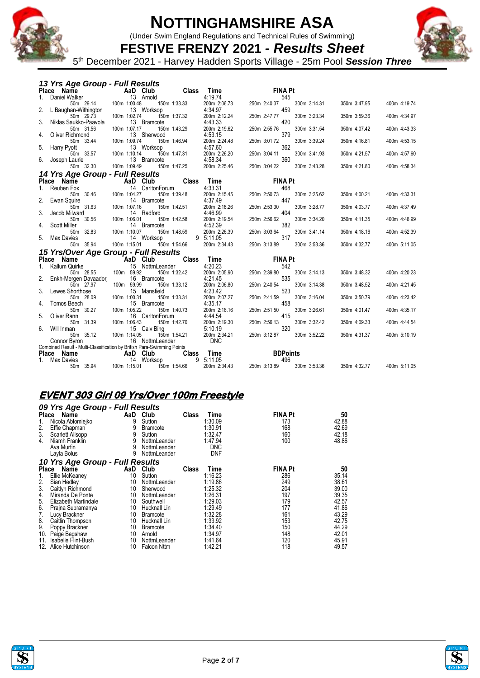

(Under Swim England Regulations and Technical Rules of Swimming)



**FESTIVE FRENZY 2021** *- Results Sheet* 5 th December 2021 - Harvey Hadden Sports Village - 25m Pool *Session Three*

| 13 Yrs Age Group - Full Results                                        |                           |                           |                 |              |              |              |                 |              |              |              |
|------------------------------------------------------------------------|---------------------------|---------------------------|-----------------|--------------|--------------|--------------|-----------------|--------------|--------------|--------------|
| Place Name                                                             |                           | <b>Example 2</b> AaD Club |                 | <b>Class</b> | Time         |              | <b>FINA Pt</b>  |              |              |              |
| Daniel Walker<br>1.                                                    |                           |                           | 13 Arnold       |              | 4:19.74      |              | 545             |              |              |              |
| 50m 29.14                                                              |                           | 100m 1:00.48              | 150m 1:33.33    |              | 200m 2:06.73 | 250m 2:40.37 |                 | 300m 3:14.31 | 350m 3:47.95 | 400m 4:19.74 |
| 2.<br>L Baughan-Withington                                             |                           |                           | 13 Worksop      |              | 4:34.97      |              | 459             |              |              |              |
| 50m 29.73                                                              |                           | 100m 1:02.74              | 150m 1:37.32    |              | 200m 2:12.24 | 250m 2:47.77 |                 | 300m 3:23.34 | 350m 3:59.36 | 400m 4:34.97 |
| 3.<br>Niklas Saukko-Paavola                                            |                           |                           | 13 Bramcote     |              | 4:43.33      |              | 420             |              |              |              |
| 50m 31.56                                                              |                           | 100m 1:07.17              | 150m 1:43.29    |              | 200m 2:19.62 | 250m 2:55.76 |                 | 300m 3:31.54 | 350m 4:07.42 | 400m 4:43.33 |
| Oliver Richmond<br>4.                                                  |                           |                           | 13 Sherwood     |              | 4:53.15      |              | 379             |              |              |              |
| 50m 33.44                                                              |                           | 100m 1:09.74              | 150m 1:46.94    |              | 200m 2:24.48 | 250m 3:01.72 |                 | 300m 3:39.24 | 350m 4:16.81 | 400m 4:53.15 |
| 5.<br>Harry Pyott                                                      |                           |                           | 13 Worksop      |              | 4:57.60      |              | 362             |              |              |              |
| 50m 33.57                                                              |                           | 100m 1:10.14              | 150m 1:47.31    |              | 200m 2:26.20 | 250m 3:04.11 |                 | 300m 3:41.93 | 350m 4:21.57 | 400m 4:57.60 |
| 6.<br>Joseph Laurie                                                    |                           |                           | 13 Bramcote     |              | 4:58.34      |              | 360             |              |              |              |
| 50m 32.30                                                              |                           | 100m 1:09.49              | 150m 1:47.25    |              | 200m 2:25.46 | 250m 3:04.22 |                 | 300m 3:43.28 | 350m 4:21.80 | 400m 4:58.34 |
| 14 Yrs Age Group - Full Results                                        |                           |                           |                 |              |              |              |                 |              |              |              |
| Place Name                                                             | <b>Example 2</b> AaD Club |                           |                 | <b>Class</b> | Time         |              | <b>FINA Pt</b>  |              |              |              |
| Reuben Fox<br>1.                                                       |                           |                           | 14 CarltonForum |              | 4:33.31      |              | 468             |              |              |              |
| 50m 30.46                                                              |                           | 100m 1:04.27              | 150m 1:39.48    |              | 200m 2:15.45 | 250m 2:50.73 |                 | 300m 3:25.62 | 350m 4:00.21 | 400m 4:33.31 |
| Ewan Squire                                                            |                           |                           | 14 Bramcote     |              | 4:37.49      |              | 447             |              |              |              |
| 50m 31.63                                                              |                           | 100m 1:07.16              | 150m 1:42.51    |              | 200m 2:18.26 | 250m 2:53.30 |                 | 300m 3:28.77 | 350m 4:03.77 | 400m 4:37.49 |
| 3.<br>Jacob Milward                                                    |                           |                           | 14 Radford      |              | 4:46.99      |              | 404             |              |              |              |
| 50m 30.56                                                              |                           | 100m 1:06.01              | 150m 1:42.58    |              | 200m 2:19.54 | 250m 2:56.62 |                 | 300m 3:34.20 | 350m 4:11.35 | 400m 4:46.99 |
| <b>Scott Miller</b><br>4.                                              |                           |                           | 14 Bramcote     |              | 4:52.39      |              | 382             |              |              |              |
| 50m 32.83                                                              |                           | 100m 1:10.07              | 150m 1:48.59    |              | 200m 2:26.39 | 250m 3:03.64 |                 | 300m 3:41.14 | 350m 4:18.16 | 400m 4:52.39 |
| <b>Max Davies</b>                                                      |                           |                           | 14 Worksop      |              | 9 5:11.05    |              | 317             |              |              |              |
| 50m 35.94                                                              |                           | 100m 1:15.01              | 150m 1:54.66    |              | 200m 2:34.43 | 250m 3:13.89 |                 | 300m 3:53.36 | 350m 4:32.77 | 400m 5:11.05 |
| 15 Yrs/Over Age Group - Full Results                                   |                           |                           |                 |              |              |              |                 |              |              |              |
| Place Name                                                             |                           | <b>AaD</b> Club           |                 | <b>Class</b> | Time         |              | <b>FINA Pt</b>  |              |              |              |
| <b>Kallum Quirke</b>                                                   |                           |                           | 15 NottmLeander |              | 4:20.23      |              | 542             |              |              |              |
| 50m 28.55                                                              |                           | 100m 59.92                | 150m 1:32.42    |              | 200m 2:05.90 | 250m 2:39.80 |                 | 300m 3:14.13 | 350m 3:48.32 | 400m 4:20.23 |
| Enkh-Mergen Davaadorj                                                  |                           |                           | 16 Bramcote     |              | 4:21.45      |              | 535             |              |              |              |
| 50m 27.97                                                              |                           | 100m 59.99                | 150m 1:33.12    |              | 200m 2:06.80 | 250m 2:40.54 |                 | 300m 3:14.38 | 350m 3:48.52 | 400m 4:21.45 |
| 3.<br>Lewes Shorthose                                                  |                           |                           | 15 Mansfield    |              | 4:23.42      |              | 523             |              |              |              |
| 50m 28.09                                                              |                           | 100m 1:00.31              | 150m 1:33.31    |              | 200m 2:07.27 | 250m 2:41.59 |                 | 300m 3:16.04 | 350m 3:50.79 | 400m 4:23.42 |
| Tomos Beech<br>4.                                                      |                           |                           | 15 Bramcote     |              | 4:35.17      |              | 458             |              |              |              |
| 50m 30.27                                                              |                           | 100m 1:05.22              | 150m 1:40.73    |              | 200m 2:16.16 | 250m 2:51.50 |                 | 300m 3:26.61 | 350m 4:01.47 | 400m 4:35.17 |
| 5.<br>Oliver Rann                                                      |                           |                           | 16 CarltonForum |              | 4:44.54      |              | 415             |              |              |              |
| 50m 31.39                                                              |                           | 100m 1:06.43              | 150m 1:42.70    |              | 200m 2:19.30 | 250m 2:56.13 |                 | 300m 3:32.42 | 350m 4:09.33 | 400m 4:44.54 |
| Will Inman<br>6.                                                       |                           |                           | 15 Calv Bing    |              | 5:10.19      |              | 320             |              |              |              |
| 50m 35.12                                                              |                           | 100m 1:14.05              | 150m 1:54.21    |              | 200m 2:34.21 | 250m 3:12.87 |                 | 300m 3:52.22 | 350m 4:31.37 | 400m 5:10.19 |
| Connor Byron                                                           |                           |                           | 16 NottmLeander |              | <b>DNC</b>   |              |                 |              |              |              |
| Combined Result - Multi-Classification by British Para-Swimming Points |                           |                           |                 |              |              |              |                 |              |              |              |
| Place Name                                                             |                           | AaD Club                  |                 | Class        | Time         |              | <b>BDPoints</b> |              |              |              |
| Max Davies                                                             |                           |                           | 14 Worksop      | 9            | 5:11.05      |              | 496             |              |              |              |
| 50m 35.94                                                              |                           | 100m 1:15.01              | 150m 1:54.66    |              | 200m 2:34.43 | 250m 3:13.89 |                 | 300m 3:53.36 | 350m 4:32.77 | 400m 5:11.05 |

### **EVENT 303 Girl 09 Yrs/Over 100m Freestyle**

|              | 09 Yrs Age Group - Full Results |     |                    |              |            |                |       |
|--------------|---------------------------------|-----|--------------------|--------------|------------|----------------|-------|
| <b>Place</b> | Name                            | AaD | Club               | Class        | Time       | <b>FINA Pt</b> | 50    |
| 1.           | Nicola Ablomiejko               | 9   | Sutton             |              | 1:30.09    | 173            | 42.88 |
| 2.           | Effie Chapman                   | 9   | <b>Bramcote</b>    |              | 1:30.91    | 168            | 42.69 |
| 3.           | Scarlett Allsopp                | 9   | Sutton             |              | 1:32.47    | 160            | 42.18 |
| 4.           | Niamh Franklin                  | 9   | NottmLeander       |              | 1:47.94    | 100            | 48.86 |
|              | Ava Murfin                      | 9   | NottmLeander       |              | <b>DNC</b> |                |       |
|              | Layla Bolus                     | 9   | NottmLeander       |              | <b>DNF</b> |                |       |
|              | 10 Yrs Age Group - Full Results |     |                    |              |            |                |       |
| Place        | Name                            | AaD | Club               | <b>Class</b> | Time       | <b>FINA Pt</b> | 50    |
| 1.           | Ellie McKeaney                  | 10  | Sutton             |              | 1:16.23    | 286            | 35.14 |
| 2.           | Sian Hedley                     | 10  | NottmLeander       |              | 1:19.86    | 249            | 38.61 |
| 3.           | Caitlyn Richmond                | 10  | Sherwood           |              | 1:25.32    | 204            | 39.00 |
| 4.           | Miranda De Ponte                | 10  | NottmLeander       |              | 1:26.31    | 197            | 39.35 |
| 5.           | Elizabeth Martindale            | 10  | Southwell          |              | 1:29.03    | 179            | 42.57 |
| 6.           | Prajna Subramanya               | 10  | Hucknall Lin       |              | 1:29.49    | 177            | 41.86 |
| 7.           | Lucy Brackner                   | 10  | <b>Bramcote</b>    |              | 1:32.28    | 161            | 43.29 |
| 8.           | Caitlin Thompson                | 10  | Hucknall Lin       |              | 1:33.92    | 153            | 42.75 |
| 9.           | Poppy Brackner                  | 10  | <b>Bramcote</b>    |              | 1:34.40    | 150            | 44.29 |
| 10.          | Paige Bagshaw                   | 10  | Arnold             |              | 1:34.97    | 148            | 42.01 |
| 11.          | Isabelle Flint-Bush             | 10  | NottmLeander       |              | 1:41.64    | 120            | 45.91 |
| 12.          | Alice Hutchinson                | 10  | <b>Falcon Nttm</b> |              | 1:42.21    | 118            | 49.57 |





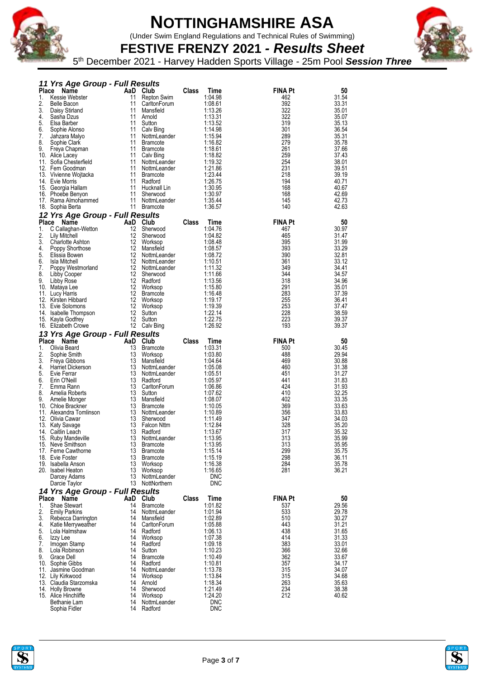

(Under Swim England Regulations and Technical Rules of Swimming)



**FESTIVE FRENZY 2021** *- Results Sheet* 5 th December 2021 - Harvey Hadden Sports Village - 25m Pool *Session Three*

|              | 11 Yrs Age Group - Full Results          |          |                                    |              |                    |                |                |
|--------------|------------------------------------------|----------|------------------------------------|--------------|--------------------|----------------|----------------|
| Place        | Name                                     |          | AaD Club                           | Class        | Time               | FINA Pt        | 50             |
| 1.           | Kessie Webster                           | 11       | Repton Swim                        |              | 1:04.98            | 462            | 31.54          |
| 2.           | <b>Belle Bacon</b>                       | 11       | CarltonForum                       |              | 1:08.61            | 392            | 33.31          |
| 3.           | Daisy Stirland                           | 11       | Mansfield                          |              | 1:13.26            | 322            | 35.01          |
| 4.           | Sasha Dzus                               | 11       | Arnold                             |              | 1:13.31            | 322            | 35.07          |
| 5.           | Elsa Barber                              | 11       | Sutton                             |              | 1:13.52            | 319            | 35.13          |
| 6.<br>7.     | Sophie Alonso                            | 11<br>11 | Calv Bing                          |              | 1:14.98            | 301<br>289     | 36.54          |
| 8.           | Jahzara Malyo                            | 11       | NottmLeander                       |              | 1:15.94            | 279            | 35.31          |
| 9.           | Sophie Clark                             | 11       | <b>Bramcote</b><br><b>Bramcote</b> |              | 1:16.82<br>1:18.61 | 261            | 35.78<br>37.66 |
|              | Freya Chapman<br>10. Alice Lacey         | 11       | Calv Bing                          |              | 1:18.82            | 259            | 37.43          |
|              | 11. Sofia Chesterfield                   | 11       | NottmLeander                       |              | 1:19.32            | 254            | 38.01          |
|              | 12. Fern Goodman                         | 11       | NottmLeander                       |              | 1:21.86            | 231            | 39.51          |
|              | 13. Vivienne Wojtacka                    | 11       | <b>Bramcote</b>                    |              | 1:23.44            | 218            | 39.19          |
|              | 14. Evie Morris                          | 11       | Radford                            |              | 1:26.75            | 194            | 40.71          |
|              | 15. Georgia Hallam                       | 11       | Hucknall Lin                       |              | 1:30.95            | 168            | 40.67          |
|              | 16. Phoebe Benyon                        | 11       | Sherwood                           |              | 1:30.97            | 168            | 42.69          |
|              | 17. Rama Almohammed                      | 11       | NottmLeander                       |              | 1:35.44            | 145            | 42.73          |
|              | 18. Sophia Berta                         | 11       | <b>Bramcote</b>                    |              | 1:36.57            | 140            | 42.63          |
|              | 12 Yrs Age Group - Full Results          |          |                                    |              |                    |                |                |
|              | Place Name                               | AaD      | Club                               | Class        | Time               | <b>FINA Pt</b> | 50             |
| 1.           | C Callaghan-Wetton                       | 12       | Sherwood                           |              | 1:04.76            | 467            | 30.97          |
| 2.           | Lily Mitchell                            | 12       | Sherwood                           |              | 1:04.82            | 465            | 31.47          |
| 3.           | Charlotte Ashton                         | 12       | Worksop                            |              | 1:08.48            | 395            | 31.99          |
| 4.           | Poppy Shorthose                          | 12       | Mansfield                          |              | 1:08.57            | 393            | 33.29          |
| 5.           | Elissia Bowen                            |          | 12 NottmLeander                    |              | 1:08.72            | 390            | 32.81          |
| 6.           | Isla Mitchell                            |          | 12 NottmLeander                    |              | 1:10.51            | 361            | 33.12          |
| 7.           | Poppy Westmorland                        | 12       | NottmLeander                       |              | 1:11.32            | 349            | 34.41          |
| 8.           | Libby Cooper                             | 12       | Sherwood                           |              | 1:11.66            | 344            | 34.57          |
| 9.           | Libby Rose                               |          | 12 Radford                         |              | 1:13.56            | 318            | 34.96          |
|              | 10. Mataya Lee                           | 12       | Worksop                            |              | 1:15.80            | 291            | 35.01          |
|              | 11. Lucy Harris                          | 12       | <b>Bramcote</b>                    |              | 1:16.48            | 283            | 37.39          |
|              | 12. Kirsten Hibbard                      | 12       | Worksop                            |              | 1:19.17            | 255            | 36.41          |
|              | 13. Evie Solomons                        | 12       | Worksop                            |              | 1:19.39            | 253            | 37.47          |
|              | 14. Isabelle Thompson                    | 12       | Sutton                             |              | 1:22.14            | 228            | 38.59          |
|              | 15. Kayla Godfrey                        | 12       | Sutton                             |              | 1:22.75            | 223            | 39.37          |
|              | 16. Elizabeth Crowe                      |          | 12 Calv Bing                       |              | 1:26.92            | 193            | 39.37          |
|              | 13 Yrs Age Group - Full Results          |          |                                    |              |                    |                |                |
| <b>Place</b> | Name                                     |          | AaD Club                           | <b>Class</b> | Time               | <b>FINA Pt</b> | 50             |
| 1.           | Olivia Beard                             | 13       | <b>Bramcote</b>                    |              | 1:03.31            | 500            | 30.45          |
| 2.           | Sophie Smith                             | 13       | Worksop                            |              | 1:03.80            | 488            | 29.94          |
| 3.           | Freya Gibbons                            | 13       | Mansfield                          |              | 1:04.64            | 469            | 30.88          |
| 4.           | <b>Harriet Dickerson</b>                 | 13       | NottmLeander                       |              | 1:05.08            | 460            | 31.38          |
| 5.           | Evie Ferrar                              | 13       | NottmLeander                       |              | 1:05.51            | 451            | 31.27          |
| 6.           | Erin O'Neill                             | 13       | Radford                            |              | 1:05.97            | 441            | 31.83          |
| 7.           | Emma Rann                                | 13       | CarltonForum                       |              | 1:06.86            | 424            | 31.93          |
| 8.           | Amelia Roberts                           | 13       | Sutton                             |              | 1:07.62            | 410            | 32.25          |
| 9.           | Amelie Monger                            | 13       | Mansfield                          |              | 1:08.07            | 402            | 33.35          |
|              | 10. Chloe Brackner                       | 13       | <b>Bramcote</b>                    |              | 1:10.05            | 369            | 33.63          |
|              | 11. Alexandra Tomlinson                  | 13       | NottmLeander                       |              | 1:10.89            | 356            | 33.83          |
|              | 12. Olivia Cawar                         | 13       | Sherwood                           |              | 1:11.49            | 347            | 34.03          |
|              | 13. Katy Savage                          | 13       | Falcon Nttm                        |              | 1:12.84            | 328            | 35.20          |
|              | 14. Caitlin Leach                        | 13       | Radford                            |              | 1:13.67            | 317            | 35.32          |
|              | 15. Ruby Mandeville                      | 13       | NottmLeander                       |              | 1:13.95            | 313            | 35.99          |
|              | 15. Neve Smithson<br>17. Ferne Cawthorne | 13       | <b>Bramcote</b>                    |              | 1:13.95<br>1:15.14 | 313            | 35.95          |
|              | 18. Evie Foster                          | 13<br>13 | <b>Bramcote</b><br><b>Bramcote</b> |              | 1:15.19            | 299<br>298     | 35.75<br>36.11 |
|              | 19. Isabella Anson                       | 13       | Worksop                            |              | 1:16.38            | 284            | 35.78          |
|              | 20. Isabel Heaton                        | 13       | Worksop                            |              | 1:16.65            | 281            | 36.21          |
|              | Darcey Adams                             | 13       | NottmLeander                       |              | <b>DNC</b>         |                |                |
|              | Darcie Taylor                            | 13       | NottNorthern                       |              | <b>DNC</b>         |                |                |
|              |                                          |          |                                    |              |                    |                |                |
|              | 14 Yrs Age Group - Full Results          |          | Club                               | <b>Class</b> |                    | <b>FINA Pt</b> |                |
| Place        | Name                                     | AaD      |                                    |              | Time               |                | 50<br>29.56    |
| 1.<br>2.     | Shae Stewart<br><b>Emily Parkins</b>     | 14<br>14 | <b>Bramcote</b><br>NottmLeander    |              | 1:01.82<br>1:01.94 | 537<br>533     | 29.78          |
| 3.           | Rebecca Darrington                       | 14       | Mansfield                          |              | 1:02.89            | 510            | 30.27          |
| 4.           | Katie Merryweather                       | 14       | CarltonForum                       |              | 1:05.88            | 443            | 31.21          |
| 5.           | Lola Halmshaw                            | 14       | Radford                            |              | 1:06.13            | 438            | 31.65          |
| 6.           | Izzy Lee                                 | 14       | Worksop                            |              | 1:07.38            | 414            | 31.33          |
| 7.           | Imogen Stamp                             | 14       | Radford                            |              | 1:09.18            | 383            | 33.01          |
| 8.           | Lola Robinson                            | 14       | Sutton                             |              | 1:10.23            | 366            | 32.66          |
| 9.           | Grace Dell                               | 14       | <b>Bramcote</b>                    |              | 1:10.49            | 362            | 33.67          |
|              | 10. Sophie Gibbs                         | 14       | Radford                            |              | 1:10.81            | 357            | 34.17          |
|              | 11. Jasmine Goodman                      | 14       | NottmLeander                       |              | 1:13.78            | 315            | 34.07          |
|              | 12. Lily Kirkwood                        | 14       | Worksop                            |              | 1:13.84            | 315            | 34.68          |
|              | 13. Claudia Starzomska                   | 14       | Arnold                             |              | 1:18.34            | 263            | 35.63          |
|              | 14. Holly Browne                         | 14       | Sherwood                           |              | 1:21.49            | 234            | 38.38          |
|              | 15. Alice Hinchliffe                     | 14       | Worksop                            |              | 1:24.20            | 212            | 40.62          |
|              | Bethanie Lam                             | 14       | NottmLeander                       |              | <b>DNC</b>         |                |                |
|              | Sophia Fidler                            | 14       | Radford                            |              | <b>DNC</b>         |                |                |



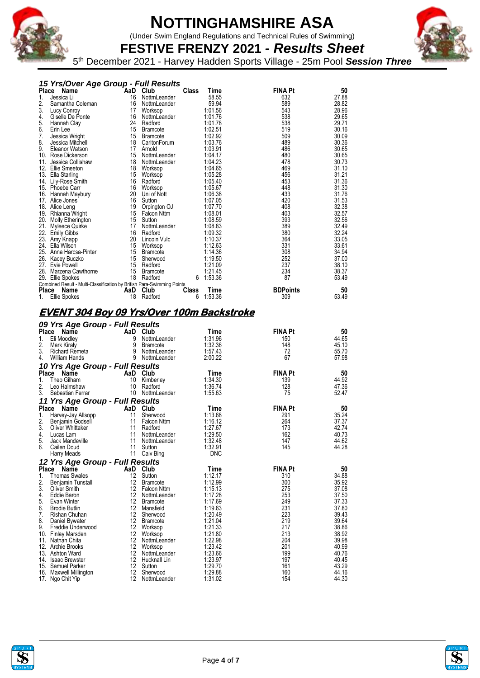

(Under Swim England Regulations and Technical Rules of Swimming)



**FESTIVE FRENZY 2021** *- Results Sheet* 5 th December 2021 - Harvey Hadden Sports Village - 25m Pool *Session Three*

| 15 Yrs/Over Age Group - Full Results |  |  |  |
|--------------------------------------|--|--|--|
|                                      |  |  |  |

| Place<br>Name                                                          | AaD | Club               | <b>Class</b> | Time    | <b>FINA Pt</b>  | 50    |
|------------------------------------------------------------------------|-----|--------------------|--------------|---------|-----------------|-------|
| 1.<br>Jessica Li                                                       | 16  | NottmLeander       |              | 58.55   | 632             | 27.88 |
| 2.<br>Samantha Coleman                                                 | 16  | NottmLeander       |              | 59.94   | 589             | 28.82 |
| 3.<br>Lucy Conroy                                                      | 17  | Worksop            |              | 1:01.56 | 543             | 28.96 |
| 4.<br>Giselle De Ponte                                                 | 16  | NottmLeander       |              | 1:01.76 | 538             | 29.65 |
| 5.<br>Hannah Clay                                                      | 24  | Radford            |              | 1:01.78 | 538             | 29.71 |
| 6.<br>Erin Lee                                                         | 15  | <b>Bramcote</b>    |              | 1:02.51 | 519             | 30.16 |
| 7.<br>Jessica Wright                                                   | 15  | <b>Bramcote</b>    |              | 1:02.92 | 509             | 30.09 |
| 8.<br>Jessica Mitchell                                                 | 18  | CarltonForum       |              | 1:03.76 | 489             | 30.36 |
| 9.<br>Eleanor Watson                                                   | 17  | Arnold             |              | 1:03.91 | 486             | 30.65 |
| 10. Rose Dickerson                                                     | 15  | NottmLeander       |              | 1:04.17 | 480             | 30.65 |
| Jessica Collishaw<br>11.                                               | 18  | NottmLeander       |              | 1:04.23 | 478             | 30.73 |
| 12.<br>Ellie Smeeton                                                   | 18  | Worksop            |              | 1:04.65 | 469             | 31.10 |
| 13.<br>Ella Starling                                                   | 15  | Worksop            |              | 1:05.28 | 456             | 31.21 |
| 14. Lily-Rose Smith                                                    | 16  | Radford            |              | 1:05.40 | 453             | 31.36 |
| 15. Phoebe Carr                                                        | 16  | Worksop            |              | 1:05.67 | 448             | 31.30 |
| 16.<br>Hannah Maybury                                                  | 20  | Uni of Nott        |              | 1:06.38 | 433             | 31.76 |
| 17. Alice Jones                                                        | 16  | Sutton             |              | 1:07.05 | 420             | 31.53 |
| 18. Alice Leng                                                         | 19  | Orpington OJ       |              | 1:07.70 | 408             | 32.38 |
| 19.<br>Rhianna Wright                                                  | 15  | <b>Falcon Nttm</b> |              | 1:08.01 | 403             | 32.57 |
| 20.<br>Molly Etherington                                               | 15  | Sutton             |              | 1:08.59 | 393             | 32.56 |
| 21. Myleece Quirke                                                     | 17  | NottmLeander       |              | 1:08.83 | 389             | 32.49 |
| 22. Emily Gibbs                                                        | 16  | Radford            |              | 1:09.32 | 380             | 32.24 |
| 23.<br>Amy Knapp                                                       | 20  | Lincoln Vulc       |              | 1:10.37 | 364             | 33.05 |
| 24.<br>Ella Wilson                                                     | 15  | Worksop            |              | 1:12.63 | 331             | 33.61 |
| 25. Anna Harcsa-Pinter                                                 | 15  | Bramcote           |              | 1:14.36 | 308             | 34.94 |
| 26. Kacey Buczko                                                       | 15  | Sherwood           |              | 1:19.50 | 252             | 37.00 |
| 27.<br>Evie Powell                                                     | 15  | Radford            |              | 1:21.09 | 237             | 38.10 |
| 28.<br>Marzena Cawthorne                                               | 15  | Bramcote           |              | 1:21.45 | 234             | 38.37 |
| 29. Ellie Spokes                                                       | 18  | Radford            | 6            | 1:53.36 | 87              | 53.49 |
| Combined Result - Multi-Classification by British Para-Swimming Points |     |                    |              |         |                 |       |
| Place<br>Name                                                          | AaD | Club               | <b>Class</b> | Time    | <b>BDPoints</b> | 50    |
| Ellie Spokes<br>1.                                                     | 18  | Radford            | 6            | 1:53.36 | 309             | 53.49 |

### **EVENT 304 Boy 09 Yrs/Over 100m Backstroke**

|              | 09 Yrs Age Group - Full Results |                 |                 |             |                |       |
|--------------|---------------------------------|-----------------|-----------------|-------------|----------------|-------|
| Place        | <b>Name</b>                     | AaD             | Club            | <b>Time</b> | <b>FINA Pt</b> | 50    |
| 1.           | Eli Moodley                     | 9               | NottmLeander    | 1:31.96     | 150            | 44.65 |
| 2.           | Mark Kiraly                     | 9               | <b>Bramcote</b> | 1:32.36     | 148            | 45.10 |
| 3.           | <b>Richard Remeta</b>           | 9               | NottmLeander    | 1:57.43     | 72             | 55.70 |
| 4.           | <b>William Hands</b>            | 9               | NottmLeander    | 2:00.22     | 67             | 57.98 |
|              | 10 Yrs Age Group - Full Results |                 |                 |             |                |       |
| <b>Place</b> | Name                            |                 | AaD Club        | Time        | <b>FINA Pt</b> | 50    |
| 1.           | Theo Gilham                     | 10              | Kimberley       | 1:34.30     | 139            | 44.92 |
| 2.           | Leo Halmshaw                    | 10              | Radford         | 1:36.74     | 128            | 47.36 |
| 3.           | Sebastian Ferrar                | 10              | NottmLeander    | 1:55.63     | 75             | 52.47 |
|              | 11 Yrs Age Group - Full Results |                 |                 |             |                |       |
| Place        | Name                            |                 | AaD Club        | Time        | <b>FINA Pt</b> | 50    |
| 1.           | Harvey-Jay Allsopp              | 11              | Sherwood        | 1:13.68     | 291            | 35.24 |
| 2.           | Benjamin Godsell                | 11              | Falcon Nttm     | 1:16.12     | 264            | 37.37 |
| 3.           | Oliver Whittaker                | 11              | Radford         | 1:27.67     | 173            | 42.74 |
| 4.           | Lucas Lam                       | 11              | NottmLeander    | 1:29.50     | 162            | 40.73 |
| 5.           | Jack Mandeville                 | 11              | NottmLeander    | 1:32.48     | 147            | 44.62 |
| 6.           | Cailen Doud                     | 11              | Sutton          | 1:32.91     | 145            | 44.28 |
|              | Harry Meads                     | 11              | Calv Bing       | <b>DNC</b>  |                |       |
|              | 12 Yrs Age Group - Full Results |                 |                 |             |                |       |
| <b>Place</b> | Name                            | AaD             | Club            | Time        | <b>FINA Pt</b> | 50    |
| 1.           | <b>Thomas Swales</b>            | 12              | Sutton          | 1:12.17     | 310            | 34.88 |
| 2.           | Benjamin Tunstall               | 12 <sup>°</sup> | <b>Bramcote</b> | 1:12.99     | 300            | 35.92 |
| 3.           | Oliver Smith                    |                 | 12 Falcon Nttm  | 1:15.13     | 275            | 37.08 |
| 4.           | Eddie Baron                     | 12              | NottmLeander    | 1:17.28     | 253            | 37.50 |
| 5.           | Evan Winter                     | 12              | <b>Bramcote</b> | 1:17.69     | 249            | 37.33 |
| 6.           | <b>Brodie Butlin</b>            | 12              | Mansfield       | 1:19.63     | 231            | 37.80 |
| 7.           | Rishan Chuhan                   | 12              | Sherwood        | 1:20.49     | 223            | 39.43 |
| 8.           | Daniel Bywater                  | 12              | <b>Bramcote</b> | 1:21.04     | 219            | 39.64 |
| 9.           | Freddie Underwood               | 12              | Worksop         | 1:21.33     | 217            | 38.86 |
|              | 10. Finlay Marsden              | 12              | Worksop         | 1:21.80     | 213            | 38.92 |
|              | 11. Nathan Chita                | 12              | NottmLeander    | 1:22.98     | 204            | 39.98 |
|              | 12. Archie Brooks               | 12              | Worksop         | 1:23.42     | 201            | 40.99 |
|              | 13. Ashton Ward                 | 12              | NottmLeander    | 1:23.66     | 199            | 40.76 |
|              | 14. Isaac Brewster              | 12              | Hucknall Lin    | 1:23.97     | 197            | 40.45 |
|              | 15. Samuel Parker               | 12              | Sutton          | 1:29.70     | 161            | 43.29 |
|              | 16. Maxwell Millington          | 12              | Sherwood        | 1:29.88     | 160            | 44.16 |
| 17.          | Ngo Chit Yip                    | 12              | NottmLeander    | 1:31.02     | 154            | 44.30 |



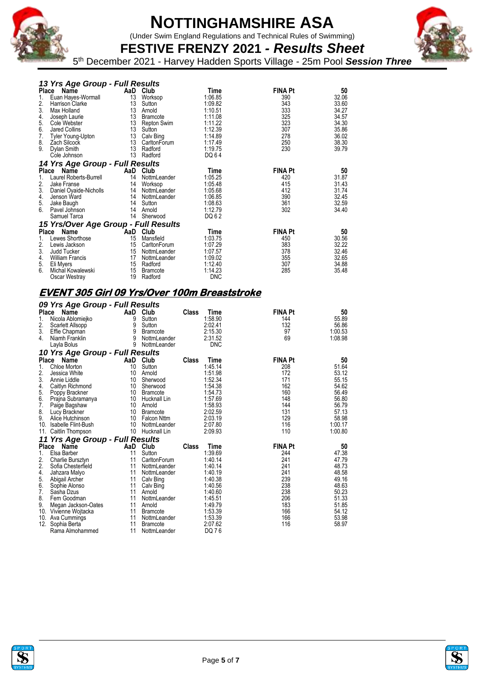

(Under Swim England Regulations and Technical Rules of Swimming)

**FESTIVE FRENZY 2021** *- Results Sheet* 5 th December 2021 - Harvey Hadden Sports Village - 25m Pool *Session Three*

|    | 13 Yrs Age Group - Full Results      |    |                    |            |                |       |
|----|--------------------------------------|----|--------------------|------------|----------------|-------|
|    | Place<br>Name                        |    | AaD Club           | Time       | <b>FINA Pt</b> | 50    |
| 1. | Euan Hayes-Wormall                   | 13 | Worksop            | 1:06.85    | 390            | 32.06 |
| 2. | Harrison Clarke                      | 13 | Sutton             | 1:09.82    | 343            | 33.60 |
| 3. | Max Holland                          | 13 | Arnold             | 1:10.51    | 333            | 34.27 |
| 4. | Joseph Laurie                        | 13 | <b>Bramcote</b>    | 1:11.08    | 325            | 34.57 |
| 5. | Cole Webster                         | 13 | <b>Repton Swim</b> | 1:11.22    | 323            | 34.30 |
| 6. | Jared Collins                        | 13 | Sutton             | 1:12.39    | 307            | 35.86 |
| 7. | Tyler Young-Upton                    | 13 | Calv Bing          | 1:14.89    | 278            | 36.02 |
| 8. | Zach Silcock                         | 13 | CarltonForum       | 1:17.49    | 250            | 38.30 |
| 9. | Dylan Smith                          | 13 | Radford            | 1:19.75    | 230            | 39.79 |
|    | Cole Johnson                         | 13 | Radford            | DQ 64      |                |       |
|    | 14 Yrs Age Group - Full Results      |    |                    |            |                |       |
|    | Place Name                           |    | AaD Club           | Time       | <b>FINA Pt</b> | 50    |
| 1. | Laurel Roberts-Burrell               | 14 | NottmLeander       | 1:05.25    | 420            | 31.87 |
| 2. | Jake Franse                          | 14 | Worksop            | 1:05.48    | 415            | 31.43 |
| 3. | Daniel Oyaide-Nicholls               | 14 | NottmLeander       | 1:05.68    | 412            | 31.74 |
| 4. | Jenson Ward                          | 14 | NottmLeander       | 1:06.85    | 390            | 32.45 |
| 5. | Jake Baugh                           | 14 | Sutton             | 1:08.63    | 361            | 32.59 |
| 6. | Pavel Johnson                        | 14 | Arnold             | 1:12.79    | 302            | 34.40 |
|    | Samuel Tarca                         | 14 | Sherwood           | DQ 62      |                |       |
|    | 15 Yrs/Over Age Group - Full Results |    |                    |            |                |       |
|    | Place Name                           |    | AaD Club           | Time       | <b>FINA Pt</b> | 50    |
|    | Lewes Shorthose                      | 15 | Mansfield          | 1:03.75    | 450            | 30.56 |
| 2. | Lewis Jackson                        | 15 | CarltonForum       | 1:07.29    | 383            | 32.22 |
| 3. | Judd Tucker                          | 15 | NottmLeander       | 1:07.57    | 378            | 32.46 |
| 4. | <b>William Francis</b>               | 17 | NottmLeander       | 1:09.02    | 355            | 32.65 |
| 5. | Eli Myers                            | 15 | Radford            | 1:12.40    | 307            | 34.88 |
| 6. | Michal Kowalewski                    | 15 | <b>Bramcote</b>    | 1:14.23    | 285            | 35.48 |
|    | Oscar Westray                        | 19 | Radford            | <b>DNC</b> |                |       |

### **EVENT 305 Girl 09 Yrs/Over 100m Breaststroke**

|       | 09 Yrs Age Group - Full Results     |    |                 |              |            |                |         |
|-------|-------------------------------------|----|-----------------|--------------|------------|----------------|---------|
| Place | Name                                |    | AaD Club        | Class        | Time       | <b>FINA Pt</b> | 50      |
| 1.    | Nicola Ablomiejko                   | 9  | Sutton          |              | 1:58.90    | 144            | 55.89   |
| 2.    | Scarlett Allsopp                    | 9  | Sutton          |              | 2:02.41    | 132            | 56.86   |
| 3.    | Effie Chapman                       | 9  | <b>Bramcote</b> |              | 2:15.30    | 97             | 1:00.53 |
| 4.    | Niamh Franklin                      | 9  | NottmLeander    |              | 2:31.52    | 69             | 1:08.98 |
|       | Layla Bolus                         | 9  | NottmLeander    |              | <b>DNC</b> |                |         |
|       | 10 Yrs Age Group - Full Results     |    |                 |              |            |                |         |
| Place | Name                                |    | AaD Club        | <b>Class</b> | Time       | <b>FINA Pt</b> | 50      |
| 1.    | Chloe Morton                        | 10 | Sutton          |              | 1:45.14    | 208            | 51.64   |
| 2.    | Jessica White                       | 10 | Arnold          |              | 1:51.98    | 172            | 53.12   |
| 3.    | Annie Liddle                        | 10 | Sherwood        |              | 1:52.34    | 171            | 55.15   |
| 4.    | Caitlyn Richmond                    | 10 | Sherwood        |              | 1:54.38    | 162            | 54.62   |
| 5.    | Poppy Brackner                      | 10 | <b>Bramcote</b> |              | 1:54.73    | 160            | 56.49   |
| 6.    | Prajna Subramanya                   | 10 | Hucknall Lin    |              | 1:57.69    | 148            | 56.80   |
| 7.    | Paige Bagshaw                       | 10 | Arnold          |              | 1:58.93    | 144            | 56.79   |
| 8.    | Lucy Brackner                       | 10 | <b>Bramcote</b> |              | 2:02.59    | 131            | 57.13   |
| 9.    | Alice Hutchinson                    | 10 | Falcon Nttm     |              | 2:03.19    | 129            | 58.98   |
|       | 10. Isabelle Flint-Bush             | 10 | NottmLeander    |              | 2:07.80    | 116            | 1:00.17 |
|       | 11. Caitlin Thompson                | 10 | Hucknall Lin    |              | 2:09.93    | 110            | 1:00.80 |
| 11    | <b>Yrs Age Group - Full Results</b> |    |                 |              |            |                |         |
|       | Place Name                          |    | AaD Club        | <b>Class</b> | Time       | <b>FINA Pt</b> | 50      |
| 1.    | Elsa Barber                         | 11 | Sutton          |              | 1:39.69    | 244            | 47.38   |
| 2.    | Charlie Bursztyn                    | 11 | CarltonForum    |              | 1:40.14    | 241            | 47.79   |
| 2.    | Sofia Chesterfield                  | 11 | NottmLeander    |              | 1:40.14    | 241            | 48.73   |
| 4.    | Jahzara Malyo                       | 11 | NottmLeander    |              | 1:40.19    | 241            | 48.58   |
| 5.    | Abigail Archer                      | 11 | Calv Bing       |              | 1:40.38    | 239            | 49.16   |
| 6.    | Sophie Alonso                       | 11 | Calv Bing       |              | 1:40.56    | 238            | 48.63   |
| 7.    | Sasha Dzus                          | 11 | Arnold          |              | 1:40.60    | 238            | 50.23   |
| 8.    | Fern Goodman                        | 11 | NottmLeander    |              | 1:45.51    | 206            | 51.33   |
| 9.    | Megan Jackson-Oates                 | 11 | Arnold          |              | 1:49.79    | 183            | 51.85   |
|       | 10. Vivienne Wojtacka               | 11 | Bramcote        |              | 1:53.39    | 166            | 54.12   |
| 10.   | Ava Cummings                        | 11 | NottmLeander    |              | 1:53.39    | 166            | 53.98   |
| 12.   | Sophia Berta                        | 11 | <b>Bramcote</b> |              | 2:07.62    | 116            | 58.97   |
|       | Rama Almohammed                     | 11 | NottmLeander    |              | DQ 76      |                |         |



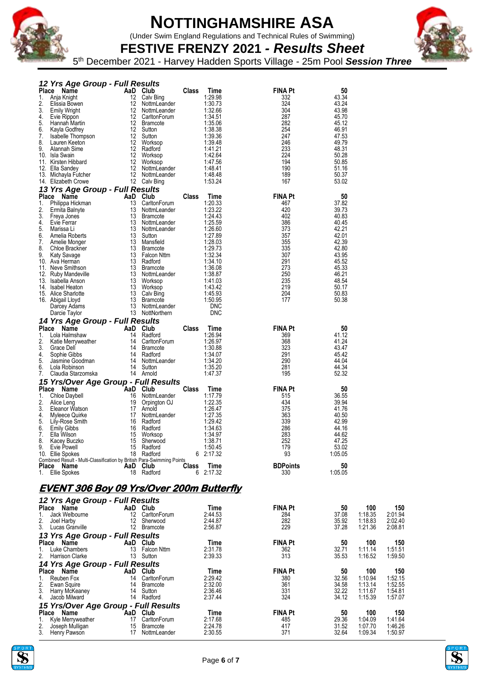

(Under Swim England Regulations and Technical Rules of Swimming)

**FESTIVE FRENZY 2021** *- Results Sheet* 5 th December 2021 - Harvey Hadden Sports Village - 25m Pool *Session Three*

|          | 12 Yrs Age Group - Full Results                                                            |    |                                 |              |                    |                 |                |         |         |
|----------|--------------------------------------------------------------------------------------------|----|---------------------------------|--------------|--------------------|-----------------|----------------|---------|---------|
|          | Place Name                                                                                 |    | AaD Club                        | Class        | <b>Time</b>        | <b>FINA Pt</b>  | 50             |         |         |
| 1.       | Anja Knight                                                                                |    | 12 Calv Bing                    |              | 1:29.98            | 332             | 43.34          |         |         |
| 2.<br>3. | Elissia Bowen<br><b>Emily Wright</b>                                                       | 12 | NottmLeander<br>12 NottmLeander |              | 1:30.73<br>1:32.66 | 324<br>304      | 43.24<br>43.98 |         |         |
| 4.       | Evie Rippon                                                                                |    | 12 CarltonForum                 |              | 1:34.51            | 287             | 45.70          |         |         |
| 5.       | Hannah Martin                                                                              |    | 12 Bramcote                     |              | 1:35.06            | 282             | 45.12          |         |         |
| 6.       | Kayla Godfrey                                                                              |    | 12 Sutton                       |              | 1:38.38            | 254             | 46.91          |         |         |
| 7.       | Isabelle Thompson                                                                          |    | 12 Sutton                       |              | 1:39.36            | 247             | 47.53          |         |         |
| 8.       | Lauren Keeton                                                                              |    | 12 Worksop                      |              | 1:39.48            | 246             | 49.79          |         |         |
| 9.       | Alannah Sime                                                                               |    | 12 Radford                      |              | 1:41.21            | 233             | 48.31          |         |         |
|          | 10. Isla Swain<br>11. Kirsten Hibbard                                                      |    | 12 Worksop<br>12 Worksop        |              | 1:42.64<br>1:47.56 | 224<br>194      | 50.28<br>50.85 |         |         |
|          | 12. Ella Sandey                                                                            |    | 12 NottmLeander                 |              | 1:48.41            | 190             | 51.16          |         |         |
|          | 13. Michayla Futcher                                                                       |    | 12 NottmLeander                 |              | 1:48.48            | 189             | 50.37          |         |         |
|          | 14. Elizabeth Crowe                                                                        |    | 12 Calv Bing                    |              | 1:53.24            | 167             | 53.02          |         |         |
|          | 13 Yrs Age Group - Full Results                                                            |    |                                 |              |                    |                 |                |         |         |
|          | Place<br>Name                                                                              |    | AaD Club                        | Class        | Time               | <b>FINA Pt</b>  | 50             |         |         |
| 1.       | Philippa Hickman                                                                           | 13 | CarltonForum                    |              | 1:20.33            | 467             | 37.82          |         |         |
| 2.       | Ermita Balnyte                                                                             | 13 | NottmLeander                    |              | 1:23.22            | 420             | 39.73          |         |         |
| 3.       | Freya Jones                                                                                | 13 | <b>Bramcote</b>                 |              | 1:24.43            | 402             | 40.83          |         |         |
| 4.<br>5. | Evie Ferrar                                                                                | 13 | NottmLeander<br>13 NottmLeander |              | 1:25.59<br>1:26.60 | 386             | 40.45<br>42.21 |         |         |
| 6.       | Marissa Li<br>Amelia Roberts                                                               |    | 13 Sutton                       |              | 1:27.89            | 373<br>357      | 42.01          |         |         |
| 7.       | Amelie Monger                                                                              | 13 | Mansfield                       |              | 1:28.03            | 355             | 42.39          |         |         |
| 8.       | Chloe Brackner                                                                             | 13 | Bramcote                        |              | 1:29.73            | 335             | 42.80          |         |         |
| 9.       | Katy Savage                                                                                |    | 13 Falcon Nttm                  |              | 1:32.34            | 307             | 43.95          |         |         |
|          | 10. Ava Herman                                                                             |    | 13 Radford                      |              | 1:34.10            | 291             | 45.52          |         |         |
|          | 11. Neve Smithson                                                                          |    | 13 Bramcote                     |              | 1:36.08            | 273             | 45.33          |         |         |
|          | 12. Ruby Mandeville                                                                        |    | 13 NottmLeander                 |              | 1:38.87            | 250             | 46.21          |         |         |
|          | 13. Isabella Anson<br>14. Isabel Heaton                                                    |    | 13 Worksop<br>13 Worksop        |              | 1:41.03<br>1:43.42 | 235<br>219      | 48.54<br>50.17 |         |         |
|          | 15. Alice Sharlotte                                                                        |    | 13 Calv Bing                    |              | 1:45.93            | 204             | 50.83          |         |         |
|          | 16. Abigail Lloyd                                                                          |    | 13 Bramcote                     |              | 1:50.95            | 177             | 50.38          |         |         |
|          | Darcey Adams                                                                               |    | 13 NottmLeander                 |              | <b>DNC</b>         |                 |                |         |         |
|          | Darcie Taylor                                                                              |    | 13 NottNorthern                 |              | <b>DNC</b>         |                 |                |         |         |
|          | 14 Yrs Age Group - Full Results                                                            |    |                                 |              |                    |                 |                |         |         |
|          | Place Name                                                                                 |    | AaD Club                        | <b>Class</b> | Time               | <b>FINA Pt</b>  | 50             |         |         |
| 1.       | Lola Halmshaw                                                                              | 14 | Radford                         |              | 1:26.94            | 369             | 41.12          |         |         |
| 2.<br>3. | Katie Merryweather<br>Grace Dell                                                           | 14 | CarltonForum<br>14 Bramcote     |              | 1:26.97<br>1:30.88 | 368<br>323      | 41.24<br>43.47 |         |         |
| 4.       | Sophie Gibbs                                                                               |    | 14 Radford                      |              | 1:34.07            | 291             | 45.42          |         |         |
| 5.       | Jasmine Goodman                                                                            | 14 | NottmLeander                    |              | 1:34.20            | 290             | 44.04          |         |         |
| 6.       | Lola Robinson                                                                              |    | 14 Sutton                       |              | 1:35.20            | 281             | 44.34          |         |         |
| 7.       | Claudia Starzomska                                                                         |    | 14 Arnold                       |              | 1:47.37            | 195             | 52.32          |         |         |
|          | 15 Yrs/Over Age Group - Full Results                                                       |    |                                 |              |                    |                 |                |         |         |
|          | Place Name                                                                                 |    | AaD Club                        | Class        | Time               | <b>FINA Pt</b>  | 50             |         |         |
| 1.       | Chloe Daybell                                                                              | 16 | NottmLeander                    |              | 1:17.79            | 515             | 36.55          |         |         |
| 2.       | Alice Leng                                                                                 | 17 | 19 Orpington OJ<br>Arnold       |              | 1:22.35<br>1:26.47 | 434<br>375      | 39.94<br>41.76 |         |         |
| 3.<br>4. | Eleanor Watson<br>Myleece Quirke                                                           | 17 | NottmLeander                    |              | 1:27.35            | 363             | 40.50          |         |         |
| 5.       | Lily-Rose Smith                                                                            |    | 16 Radford                      |              | 1:29.42            | 339             | 42.99          |         |         |
| 6.       | <b>Emily Gibbs</b>                                                                         | 16 | Radford                         |              | 1:34.63            | 286             | 44.16          |         |         |
| 7.       | Ella Wilson                                                                                | 15 | Worksop                         |              | 1:34.97            | 283             | 44.62          |         |         |
|          | 8. Kacey Buczko                                                                            |    | 15 Sherwood                     |              | 1:38.71            | 252             | 47.25          |         |         |
|          | 9. Evie Powell                                                                             |    | 15 Radford                      |              | 1:50.45            | 179             | 53.02          |         |         |
|          | 10. Ellie Spokes<br>Combined Result - Multi-Classification by British Para-Swimming Points |    | 18 Radford                      |              | 6 2:17.32          | 93              | 1:05.05        |         |         |
|          | Place Name                                                                                 |    | AaD Club                        | <b>Class</b> | Time               | <b>BDPoints</b> | 50             |         |         |
|          | 1. Ellie Spokes                                                                            |    | 18 Radford                      |              | 6 2:17.32          | 330             | 1:05.05        |         |         |
|          |                                                                                            |    |                                 |              |                    |                 |                |         |         |
|          | <u>EVENT 306 Boy 09 Yrs/Over 200m Butterfly</u>                                            |    |                                 |              |                    |                 |                |         |         |
|          |                                                                                            |    |                                 |              |                    |                 |                |         |         |
|          | 12 Yrs Age Group - Full Results<br>Place Name                                              |    | AaD Club                        |              | Time               | <b>FINA Pt</b>  | 50             | 100     | 150     |
| 1.       | Jack Welbourne                                                                             |    | 12 CarltonForum                 |              | 2:44.53            | 284             | 37.08          | 1:18.35 | 2:01.94 |
| 2.       | Joel Harby                                                                                 |    | 12 Sherwood                     |              | 2:44.87            | 282             | 35.92          | 1:18.83 | 2:02.40 |
|          | 3. Lucas Granville                                                                         |    | 12 Bramcote                     |              | 2:56.87            | 229             | 37.28          | 1:21.36 | 2:08.81 |
|          | 13 Yrs Age Group - Full Results                                                            |    |                                 |              |                    |                 |                |         |         |
|          | Place Name                                                                                 |    | AaD Club                        |              | Time               | <b>FINA Pt</b>  | 50             | 100     | 150     |
|          | 1. Luke Chambers                                                                           |    | 13 Falcon Nttm                  |              | 2:31.78            | 362             | 32.71          | 1:11.14 | 1:51.51 |
|          | 2. Harrison Clarke                                                                         |    | 13 Sutton                       |              | 2:39.33            | 313             | 35.53          | 1:16.52 | 1:59.50 |
|          | 14 Yrs Age Group - Full Results                                                            |    |                                 |              |                    |                 |                |         |         |
|          | Place Name                                                                                 |    | AaD Club                        |              | Time               | <b>FINA Pt</b>  | 50             | 100     | 150     |
| 1.       | Reuben Fox                                                                                 |    | 14 CarltonForum                 |              | 2:29.42            | 380             | 32.56          | 1:10.94 | 1:52.15 |
|          | 2. Ewan Squire                                                                             |    | 14 Bramcote                     |              | 2:32.00            | 361             | 34.58          | 1:13.14 | 1:52.55 |



*15 Yrs/Over Age Group - Full Results*

3. Harry McKeaney 14 Sutton 2:36.46 331 32.22 1:11.67 1:54.81 4. Jacob Milward 14 Radford 2:37.44 324 34.12 1:15.39 1:57.07

**Place Name AaD Club Time FINA Pt 50 100 150** 1. Kyle Merryweather 17 CarltonForum 2:17.68 1.17 485 29.36 1:04.09 1:41.64<br>
2. Joseph Mulligan 15 Bramcote 2:24.78 417 31.52 1:07.70 1:46.26<br>
3. Henry Pawson 17 NottmLeander 2:30.55 371 32.64 1:09.34 1:50.97 2. Joseph Mulligan 15 Bramcote 2:24.78 417 31.52 1:07.70 1:46.26 3. Henry Pawson 17 NottmLeander 2:30.55 371 32.64 1:09.34 1:50.97